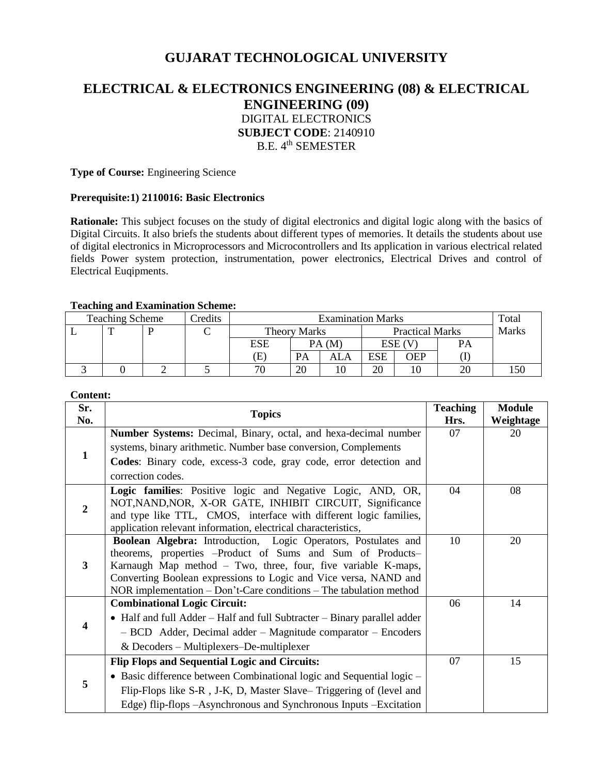# **GUJARAT TECHNOLOGICAL UNIVERSITY**

# **ELECTRICAL & ELECTRONICS ENGINEERING (08) & ELECTRICAL ENGINEERING (09)** DIGITAL ELECTRONICS **SUBJECT CODE**: 2140910 B.E. 4<sup>th</sup> SEMESTER

**Type of Course:** Engineering Science

#### **Prerequisite:1) 2110016: Basic Electronics**

**Rationale:** This subject focuses on the study of digital electronics and digital logic along with the basics of Digital Circuits. It also briefs the students about different types of memories. It details the students about use of digital electronics in Microprocessors and Microcontrollers and Its application in various electrical related fields Power system protection, instrumentation, power electronics, Electrical Drives and control of Electrical Euqipments.

#### **Teaching and Examination Scheme:**

| <b>Teaching Scheme</b> |  |  | redits | <b>Examination Marks</b> |    |                        |       | Total      |    |     |
|------------------------|--|--|--------|--------------------------|----|------------------------|-------|------------|----|-----|
|                        |  |  |        | <b>Theory Marks</b>      |    | <b>Practical Marks</b> |       | Marks      |    |     |
|                        |  |  |        | ESE                      |    | PA(M)                  | ESE ( |            | PА |     |
|                        |  |  |        | Έ                        | PA | ALA                    | ESE   | <b>TEP</b> |    |     |
|                        |  |  |        | 70                       | 20 |                        | 20    |            |    | .50 |

#### **Content:**

| Sr.<br>No.     | <b>Topics</b>                                                                                                                                                                                                                                                 | <b>Teaching</b><br>Hrs. | <b>Module</b><br>Weightage |
|----------------|---------------------------------------------------------------------------------------------------------------------------------------------------------------------------------------------------------------------------------------------------------------|-------------------------|----------------------------|
|                | Number Systems: Decimal, Binary, octal, and hexa-decimal number                                                                                                                                                                                               | 07                      | 20                         |
| 1              | systems, binary arithmetic. Number base conversion, Complements                                                                                                                                                                                               |                         |                            |
|                | Codes: Binary code, excess-3 code, gray code, error detection and                                                                                                                                                                                             |                         |                            |
|                | correction codes.                                                                                                                                                                                                                                             |                         |                            |
| $\overline{2}$ | Logic families: Positive logic and Negative Logic, AND, OR,<br>NOT, NAND, NOR, X-OR GATE, INHIBIT CIRCUIT, Significance<br>and type like TTL, CMOS, interface with different logic families,<br>application relevant information, electrical characteristics, | 04                      | 08                         |
| 3              | Boolean Algebra: Introduction, Logic Operators, Postulates and                                                                                                                                                                                                | 10                      | 20                         |
|                | theorems, properties -Product of Sums and Sum of Products-                                                                                                                                                                                                    |                         |                            |
|                | Karnaugh Map method - Two, three, four, five variable K-maps,<br>Converting Boolean expressions to Logic and Vice versa, NAND and                                                                                                                             |                         |                            |
|                | NOR implementation $-$ Don't-Care conditions $-$ The tabulation method                                                                                                                                                                                        |                         |                            |
| 4              | <b>Combinational Logic Circuit:</b>                                                                                                                                                                                                                           | 06                      | 14                         |
|                | • Half and full Adder – Half and full Subtracter – Binary parallel adder                                                                                                                                                                                      |                         |                            |
|                | - BCD Adder, Decimal adder - Magnitude comparator - Encoders                                                                                                                                                                                                  |                         |                            |
|                | $&$ Decoders – Multiplexers–De-multiplexer                                                                                                                                                                                                                    |                         |                            |
| 5              | <b>Flip Flops and Sequential Logic and Circuits:</b>                                                                                                                                                                                                          | 07                      | 15                         |
|                | • Basic difference between Combinational logic and Sequential logic –                                                                                                                                                                                         |                         |                            |
|                | Flip-Flops like S-R, J-K, D, Master Slave–Triggering of (level and                                                                                                                                                                                            |                         |                            |
|                | Edge) flip-flops -Asynchronous and Synchronous Inputs -Excitation                                                                                                                                                                                             |                         |                            |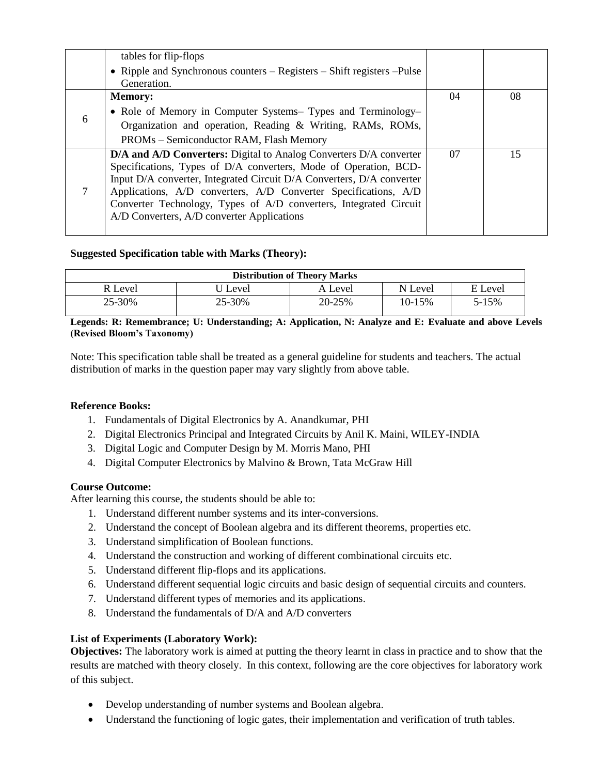|   | tables for flip-flops                                                     |    |    |
|---|---------------------------------------------------------------------------|----|----|
|   | • Ripple and Synchronous counters – Registers – Shift registers – Pulse   |    |    |
|   | Generation.                                                               |    |    |
|   | <b>Memory:</b>                                                            | 04 | 08 |
| 6 | • Role of Memory in Computer Systems- Types and Terminology-              |    |    |
|   | Organization and operation, Reading & Writing, RAMs, ROMs,                |    |    |
|   | PROMs - Semiconductor RAM, Flash Memory                                   |    |    |
| 7 | <b>D/A and A/D Converters:</b> Digital to Analog Converters D/A converter | 07 | 15 |
|   | Specifications, Types of D/A converters, Mode of Operation, BCD-          |    |    |
|   | Input D/A converter, Integrated Circuit D/A Converters, D/A converter     |    |    |
|   | Applications, A/D converters, A/D Converter Specifications, A/D           |    |    |
|   | Converter Technology, Types of A/D converters, Integrated Circuit         |    |    |
|   | A/D Converters, A/D converter Applications                                |    |    |
|   |                                                                           |    |    |

# **Suggested Specification table with Marks (Theory):**

| <b>Distribution of Theory Marks</b> |         |         |            |         |  |  |  |
|-------------------------------------|---------|---------|------------|---------|--|--|--|
| R Level                             | J Level | A Level | N Level    | E Level |  |  |  |
| 25-30%                              | 25-30%  | 20-25%  | $10 - 15%$ | 5-15%   |  |  |  |

**Legends: R: Remembrance; U: Understanding; A: Application, N: Analyze and E: Evaluate and above Levels (Revised Bloom's Taxonomy)**

Note: This specification table shall be treated as a general guideline for students and teachers. The actual distribution of marks in the question paper may vary slightly from above table.

### **Reference Books:**

- 1. Fundamentals of Digital Electronics by A. Anandkumar, PHI
- 2. Digital Electronics Principal and Integrated Circuits by Anil K. Maini, WILEY-INDIA
- 3. Digital Logic and Computer Design by M. Morris Mano, PHI
- 4. Digital Computer Electronics by Malvino & Brown, Tata McGraw Hill

### **Course Outcome:**

After learning this course, the students should be able to:

- 1. Understand different number systems and its inter-conversions.
- 2. Understand the concept of Boolean algebra and its different theorems, properties etc.
- 3. Understand simplification of Boolean functions.
- 4. Understand the construction and working of different combinational circuits etc.
- 5. Understand different flip-flops and its applications.
- 6. Understand different sequential logic circuits and basic design of sequential circuits and counters.
- 7. Understand different types of memories and its applications.
- 8. Understand the fundamentals of D/A and A/D converters

### **List of Experiments (Laboratory Work):**

**Objectives:** The laboratory work is aimed at putting the theory learnt in class in practice and to show that the results are matched with theory closely. In this context, following are the core objectives for laboratory work of this subject.

- Develop understanding of number systems and Boolean algebra.
- Understand the functioning of logic gates, their implementation and verification of truth tables.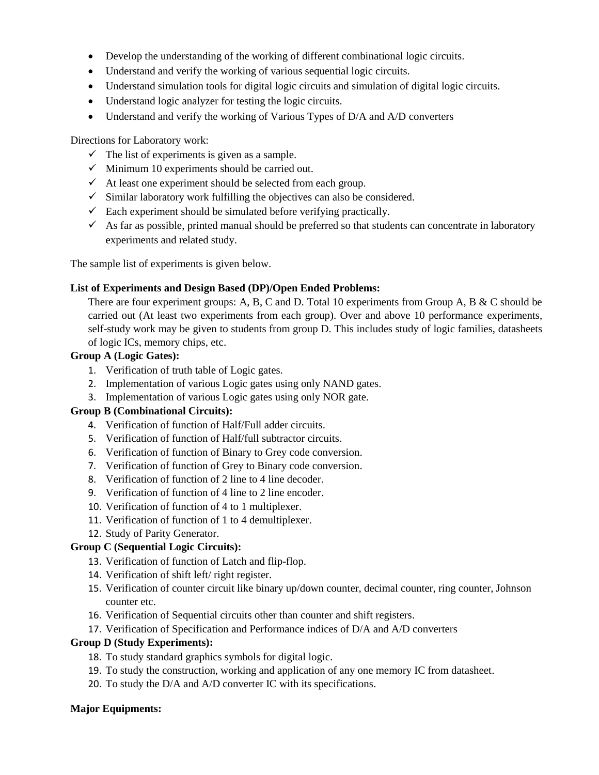- Develop the understanding of the working of different combinational logic circuits.
- Understand and verify the working of various sequential logic circuits.
- Understand simulation tools for digital logic circuits and simulation of digital logic circuits.
- Understand logic analyzer for testing the logic circuits.
- Understand and verify the working of Various Types of D/A and A/D converters

Directions for Laboratory work:

- $\checkmark$  The list of experiments is given as a sample.
- $\checkmark$  Minimum 10 experiments should be carried out.
- $\checkmark$  At least one experiment should be selected from each group.
- $\checkmark$  Similar laboratory work fulfilling the objectives can also be considered.
- $\checkmark$  Each experiment should be simulated before verifying practically.
- $\checkmark$  As far as possible, printed manual should be preferred so that students can concentrate in laboratory experiments and related study.

The sample list of experiments is given below.

### **List of Experiments and Design Based (DP)/Open Ended Problems:**

There are four experiment groups: A, B, C and D. Total 10 experiments from Group A, B & C should be carried out (At least two experiments from each group). Over and above 10 performance experiments, self-study work may be given to students from group D. This includes study of logic families, datasheets of logic ICs, memory chips, etc.

### **Group A (Logic Gates):**

- 1. Verification of truth table of Logic gates.
- 2. Implementation of various Logic gates using only NAND gates.
- 3. Implementation of various Logic gates using only NOR gate.

### **Group B (Combinational Circuits):**

- 4. Verification of function of Half/Full adder circuits.
- 5. Verification of function of Half/full subtractor circuits.
- 6. Verification of function of Binary to Grey code conversion.
- 7. Verification of function of Grey to Binary code conversion.
- 8. Verification of function of 2 line to 4 line decoder.
- 9. Verification of function of 4 line to 2 line encoder.
- 10. Verification of function of 4 to 1 multiplexer.
- 11. Verification of function of 1 to 4 demultiplexer.
- 12. Study of Parity Generator.

### **Group C (Sequential Logic Circuits):**

- 13. Verification of function of Latch and flip-flop.
- 14. Verification of shift left/ right register.
- 15. Verification of counter circuit like binary up/down counter, decimal counter, ring counter, Johnson counter etc.
- 16. Verification of Sequential circuits other than counter and shift registers.
- 17. Verification of Specification and Performance indices of D/A and A/D converters

### **Group D (Study Experiments):**

- 18. To study standard graphics symbols for digital logic.
- 19. To study the construction, working and application of any one memory IC from datasheet.
- 20. To study the D/A and A/D converter IC with its specifications.

### **Major Equipments:**